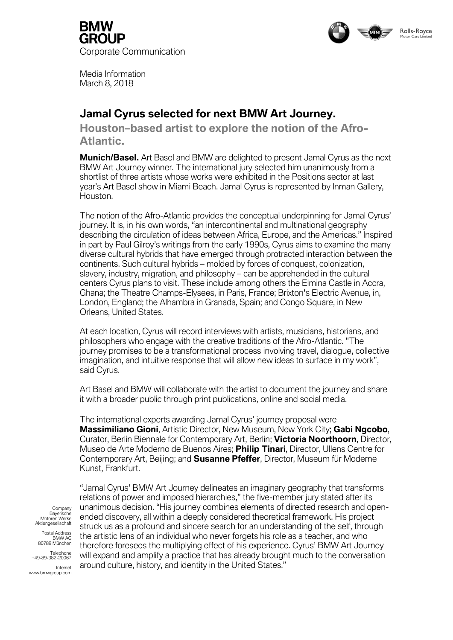



Media Information March 8, 2018

# **Jamal Cyrus selected for next BMW Art Journey.**

**Houston–based artist to explore the notion of the Afro-Atlantic.**

**Munich/Basel.** Art Basel and BMW are delighted to present Jamal Cyrus as the next BMW Art Journey winner. The international jury selected him unanimously from a shortlist of three artists whose works were exhibited in the Positions sector at last year's Art Basel show in Miami Beach. Jamal Cyrus is represented by Inman Gallery, Houston.

The notion of the Afro-Atlantic provides the conceptual underpinning for Jamal Cyrus' journey. It is, in his own words, "an intercontinental and multinational geography describing the circulation of ideas between Africa, Europe, and the Americas." Inspired in part by Paul Gilroy's writings from the early 1990s, Cyrus aims to examine the many diverse cultural hybrids that have emerged through protracted interaction between the continents. Such cultural hybrids – molded by forces of conquest, colonization, slavery, industry, migration, and philosophy – can be apprehended in the cultural centers Cyrus plans to visit. These include among others the Elmina Castle in Accra, Ghana; the Theatre Champs-Elysees, in Paris, France; Brixton's Electric Avenue, in, London, England; the Alhambra in Granada, Spain; and Congo Square, in New Orleans, United States.

At each location, Cyrus will record interviews with artists, musicians, historians, and philosophers who engage with the creative traditions of the Afro-Atlantic. "The journey promises to be a transformational process involving travel, dialogue, collective imagination, and intuitive response that will allow new ideas to surface in my work", said Cyrus.

Art Basel and BMW will collaborate with the artist to document the journey and share it with a broader public through print publications, online and social media.

The international experts awarding Jamal Cyrus' journey proposal were **Massimiliano Gioni**, Artistic Director, New Museum, New York City; **Gabi Ngcobo**, Curator, Berlin Biennale for Contemporary Art, Berlin; **Victoria Noorthoorn**, Director, Museo de Arte Moderno de Buenos Aires; **Philip Tinari**, Director, Ullens Centre for Contemporary Art, Beijing; and **Susanne Pfeffer**, Director, Museum für Moderne Kunst, Frankfurt.

Company Bayerische Motoren Werke Aktiengesellschaft

Postal Address BMW AG 80788 München

Telephone +49-89-382-20067

Internet www.bmwgroup.com

"Jamal Cyrus' BMW Art Journey delineates an imaginary geography that transforms relations of power and imposed hierarchies," the five-member jury stated after its unanimous decision. "His journey combines elements of directed research and openended discovery, all within a deeply considered theoretical framework. His project struck us as a profound and sincere search for an understanding of the self, through the artistic lens of an individual who never forgets his role as a teacher, and who therefore foresees the multiplying effect of his experience. Cyrus' BMW Art Journey will expand and amplify a practice that has already brought much to the conversation around culture, history, and identity in the United States."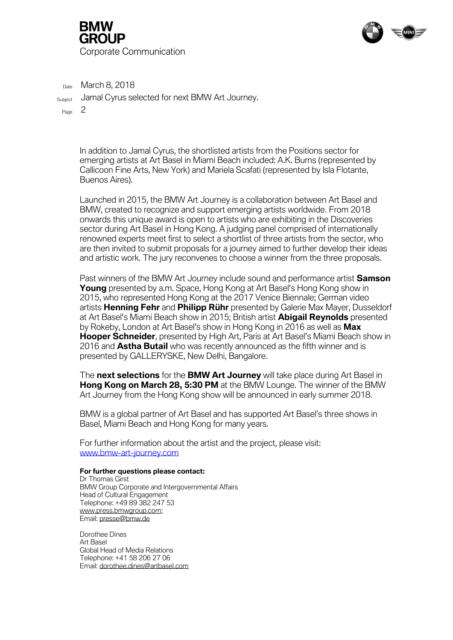



 $_{\text{Date}}$  March 8, 2018

Subject Jamal Cyrus selected for next BMW Art Journey.

Page 2

In addition to Jamal Cyrus, the shortlisted artists from the Positions sector for emerging artists at Art Basel in Miami Beach included: A.K. Burns (represented by Callicoon Fine Arts, New York) and Mariela Scafati (represented by Isla Flotante, Buenos Aires).

Launched in 2015, the BMW Art Journey is a collaboration between Art Basel and BMW, created to recognize and support emerging artists worldwide. From 2018 onwards this unique award is open to artists who are exhibiting in the Discoveries sector during Art Basel in Hong Kong. A judging panel comprised of internationally renowned experts meet first to select a shortlist of three artists from the sector, who are then invited to submit proposals for a journey aimed to further develop their ideas and artistic work. The jury reconvenes to choose a winner from the three proposals.

Past winners of the BMW Art Journey include sound and performance artist **Samson Young** presented by a.m. Space, Hong Kong at Art Basel's Hong Kong show in 2015, who represented Hong Kong at the 2017 Venice Biennale; German video artists **Henning Fehr** and **Philipp Rühr** presented by Galerie Max Mayer, Dusseldorf at Art Basel's Miami Beach show in 2015; British artist **Abigail Reynolds** presented by Rokeby, London at Art Basel's show in Hong Kong in 2016 as well as **Max Hooper Schneider**, presented by High Art, Paris at Art Basel's Miami Beach show in 2016 and **Astha Butail** who was recently announced as the fifth winner and is presented by GALLERYSKE, New Delhi, Bangalore.

The **next selections** for the **BMW Art Journey** will take place during Art Basel in **Hong Kong on March 28, 5:30 PM** at the BMW Lounge. The winner of the BMW Art Journey from the Hong Kong show will be announced in early summer 2018.

BMW is a global partner of Art Basel and has supported Art Basel's three shows in Basel, Miami Beach and Hong Kong for many years.

For further information about the artist and the project, please visit: [www.bmw-art-journey.com](http://www.bmw-art-journey.com/)

## **For further questions please contact:**

Dr Thomas Girst BMW Group Corporate and Intergovernmental Affairs Head of Cultural Engagement Telephone: +49 89 382 247 53 [www.press.bmwgroup.com;](http://www.press.bmwgroup.com/) Email: [presse@bmw.de](mailto:presse@bmw.de)

Dorothee Dines Art Basel Global Head of Media Relations Telephone: +41 58 206 27 06 Email: [dorothee.dines@artbasel.com](mailto:dorothee.dines@artbasel.com)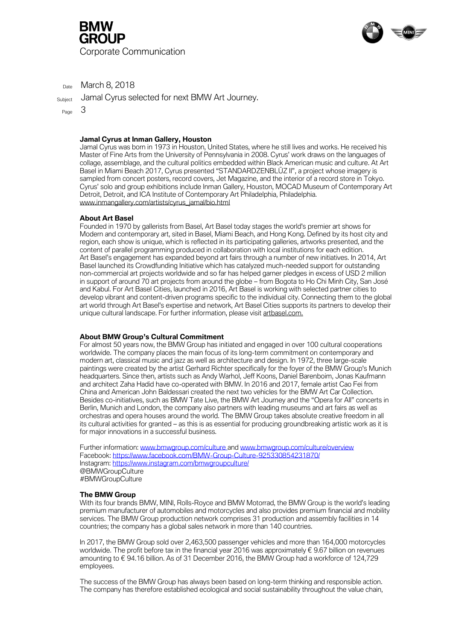



 $_{\text{Date}}$  March 8, 2018

Subject Jamal Cyrus selected for next BMW Art Journey.

Page 3

## **Jamal Cyrus at Inman Gallery, Houston**

Jamal Cyrus was born in 1973 in Houston, United States, where he still lives and works. He received his Master of Fine Arts from the University of Pennsylvania in 2008. Cyrus' work draws on the languages of collage, assemblage, and the cultural politics embedded within Black American music and culture. At Art Basel in Miami Beach 2017, Cyrus presented "STANDARDZENBLŪZ II", a project whose imagery is sampled from concert posters, record covers, Jet Magazine, and the interior of a record store in Tokyo. Cyrus' solo and group exhibitions include Inman Gallery, Houston, MOCAD Museum of Contemporary Art Detroit, Detroit, and ICA Institute of Contemporary Art Philadelphia, Philadelphia. [www.inmangallery.com/artists/cyrus\\_jamal/bio.html](http://www.inmangallery.com/artists/cyrus_jamal/bio.html)

## **About Art Basel**

Founded in 1970 by gallerists from Basel, Art Basel today stages the world's premier art shows for Modern and contemporary art, sited in Basel, Miami Beach, and Hong Kong. Defined by its host city and region, each show is unique, which is reflected in its participating galleries, artworks presented, and the content of parallel programming produced in collaboration with local institutions for each edition. Art Basel's engagement has expanded beyond art fairs through a number of new initiatives. In 2014, Art Basel launched its Crowdfunding Initiative which has catalyzed much-needed support for outstanding non-commercial art projects worldwide and so far has helped garner pledges in excess of USD 2 million in support of around 70 art projects from around the globe – from Bogota to Ho Chi Minh City, San José and Kabul. For Art Basel Cities, launched in 2016, Art Basel is working with selected partner cities to develop vibrant and content-driven programs specific to the individual city. Connecting them to the global art world through Art Basel's expertise and network, Art Basel Cities supports its partners to develop their unique cultural landscape. For further information, please visit [artbasel.com.](http://www.artbasel.com/)

#### **About BMW Group's Cultural Commitment**

For almost 50 years now, the BMW Group has initiated and engaged in over 100 cultural cooperations worldwide. The company places the main focus of its long-term commitment on contemporary and modern art, classical music and jazz as well as architecture and design. In 1972, three large-scale paintings were created by the artist Gerhard Richter specifically for the foyer of the BMW Group's Munich headquarters. Since then, artists such as Andy Warhol, Jeff Koons, Daniel Barenboim, Jonas Kaufmann and architect Zaha Hadid have co-operated with BMW. In 2016 and 2017, female artist Cao Fei from China and American John Baldessari created the next two vehicles for the BMW Art Car Collection. Besides co-initiatives, such as BMW Tate Live, the BMW Art Journey and the "Opera for All" concerts in Berlin, Munich and London, the company also partners with leading museums and art fairs as well as orchestras and opera houses around the world. The BMW Group takes absolute creative freedom in all its cultural activities for granted – as this is as essential for producing groundbreaking artistic work as it is for major innovations in a successful business.

Further information[: www.bmwgroup.com/culture](http://www.bmwgroup.com/culture) and [www.bmwgroup.com/culture/overview](http://www.bmwgroup.com/culture/overview) Facebook:<https://www.facebook.com/BMW-Group-Culture-925330854231870/> Instagram:<https://www.instagram.com/bmwgroupculture/> @BMWGroupCulture #BMWGroupCulture

#### **The BMW Group**

With its four brands BMW, MINI, Rolls-Royce and BMW Motorrad, the BMW Group is the world's leading premium manufacturer of automobiles and motorcycles and also provides premium financial and mobility services. The BMW Group production network comprises 31 production and assembly facilities in 14 countries; the company has a global sales network in more than 140 countries.

In 2017, the BMW Group sold over 2,463,500 passenger vehicles and more than 164,000 motorcycles worldwide. The profit before tax in the financial year 2016 was approximately € 9.67 billion on revenues amounting to € 94.16 billion. As of 31 December 2016, the BMW Group had a workforce of 124,729 employees.

The success of the BMW Group has always been based on long-term thinking and responsible action. The company has therefore established ecological and social sustainability throughout the value chain,